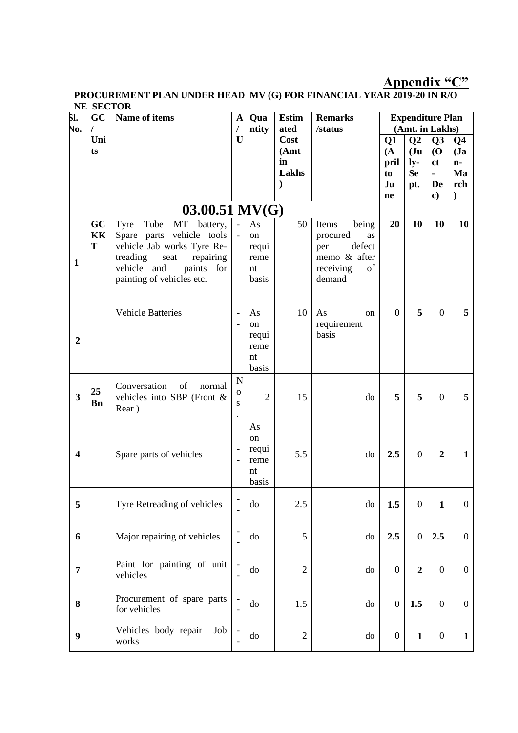### **Appendix "C"**

#### **PROCUREMENT PLAN UNDER HEAD MV (G) FOR FINANCIAL YEAR 2019-20 IN R/O NE SECTOR**

| 51.                     | GC         | Name of items                              | A                    | Qua            | <b>Estim</b>   | <b>Remarks</b>  |                  | <b>Expenditure Plan</b>          |                                  |                      |
|-------------------------|------------|--------------------------------------------|----------------------|----------------|----------------|-----------------|------------------|----------------------------------|----------------------------------|----------------------|
| No.                     | $\prime$   |                                            | $\prime$             | ntity          | ated           | /status         |                  | (Amt. in Lakhs)                  |                                  |                      |
|                         | Uni<br>ts  |                                            | U                    |                | Cost<br>(Amt)  |                 | Q1<br>(A)        | Q <sub>2</sub><br>J <sub>u</sub> | Q <sub>3</sub><br>$\overline{O}$ | Q <sub>4</sub><br>Ja |
|                         |            |                                            |                      |                | in             |                 | pril             | $l_y$ -                          | <sub>ct</sub>                    | $n-$                 |
|                         |            |                                            |                      |                | Lakhs          |                 | to               | <b>Se</b>                        | ÷,                               | Ma                   |
|                         |            |                                            |                      |                | $\lambda$      |                 | Ju               | pt.                              | De                               | rch                  |
|                         |            |                                            |                      |                |                |                 | ne               |                                  | $\bf c)$                         |                      |
|                         |            | $03.00.51 \text{ MV} (G)$                  |                      |                |                |                 |                  |                                  |                                  |                      |
|                         | GC         | Tube<br>MT battery,<br>Tyre                |                      | As             | 50             | being<br>Items  | 20               | 10                               | 10                               | 10                   |
|                         | <b>KK</b>  | Spare parts vehicle tools                  |                      | on             |                | procured<br>as  |                  |                                  |                                  |                      |
|                         | T          | vehicle Jab works Tyre Re-                 |                      | requi          |                | defect<br>per   |                  |                                  |                                  |                      |
| $\mathbf{1}$            |            | treading<br>repairing<br>seat              |                      | reme           |                | memo & after    |                  |                                  |                                  |                      |
|                         |            | vehicle and<br>paints<br>for               |                      | nt             |                | receiving<br>of |                  |                                  |                                  |                      |
|                         |            | painting of vehicles etc.                  |                      | basis          |                | demand          |                  |                                  |                                  |                      |
|                         |            |                                            |                      |                |                |                 |                  |                                  |                                  |                      |
|                         |            | <b>Vehicle Batteries</b>                   |                      | As             | 10             | As<br>on        | $\overline{0}$   | 5                                | $\overline{0}$                   | 5 <sup>5</sup>       |
|                         |            |                                            |                      | on             |                | requirement     |                  |                                  |                                  |                      |
|                         |            |                                            |                      | requi          |                | basis           |                  |                                  |                                  |                      |
| $\boldsymbol{2}$        |            |                                            |                      | reme           |                |                 |                  |                                  |                                  |                      |
|                         |            |                                            |                      | nt             |                |                 |                  |                                  |                                  |                      |
|                         |            |                                            |                      | basis          |                |                 |                  |                                  |                                  |                      |
|                         |            | Conversation<br>of<br>normal               | N                    |                |                |                 |                  |                                  |                                  |                      |
| $\overline{\mathbf{3}}$ | 25         | vehicles into SBP (Front &                 | $\mathbf{O}$         | $\overline{2}$ | 15             | do              | 5                | 5                                | $\overline{0}$                   | 5 <sup>5</sup>       |
|                         | <b>B</b> n | Rear)                                      | S                    |                |                |                 |                  |                                  |                                  |                      |
|                         |            |                                            | $\ddot{\phantom{0}}$ | As             |                |                 |                  |                                  |                                  |                      |
|                         |            |                                            |                      | on             |                |                 |                  |                                  |                                  |                      |
|                         |            |                                            |                      | requi          |                |                 |                  |                                  |                                  |                      |
| $\overline{\mathbf{4}}$ |            | Spare parts of vehicles                    |                      | reme           | 5.5            | do              | 2.5              | $\overline{0}$                   | $\overline{2}$                   | $\mathbf{1}$         |
|                         |            |                                            |                      | nt             |                |                 |                  |                                  |                                  |                      |
|                         |            |                                            |                      | basis          |                |                 |                  |                                  |                                  |                      |
| 5                       |            | Tyre Retreading of vehicles                |                      | do             | 2.5            | do              | 1.5              | $\boldsymbol{0}$                 | $\mathbf{1}$                     | $\overline{0}$       |
|                         |            |                                            |                      |                |                |                 |                  |                                  |                                  |                      |
| 6                       |            | Major repairing of vehicles                |                      | do             | 5              | do              | 2.5              | $\boldsymbol{0}$                 | 2.5                              | $\overline{0}$       |
|                         |            |                                            |                      |                |                |                 |                  |                                  |                                  |                      |
| 7                       |            | Paint for painting of unit                 |                      | do             | $\overline{2}$ | do              | $\mathbf{0}$     | $\boldsymbol{2}$                 | $\overline{0}$                   | $\overline{0}$       |
|                         |            | vehicles                                   |                      |                |                |                 |                  |                                  |                                  |                      |
| 8                       |            | Procurement of spare parts<br>for vehicles |                      | do             | 1.5            | do              | $\boldsymbol{0}$ | 1.5                              | $\mathbf{0}$                     | $\overline{0}$       |
|                         |            |                                            |                      |                |                |                 |                  |                                  |                                  |                      |
| $\boldsymbol{9}$        |            | Vehicles body repair<br>Job<br>works       |                      | do             | $\mathfrak{2}$ | do              | $\boldsymbol{0}$ | $\mathbf{1}$                     | $\overline{0}$                   | $\mathbf{1}$         |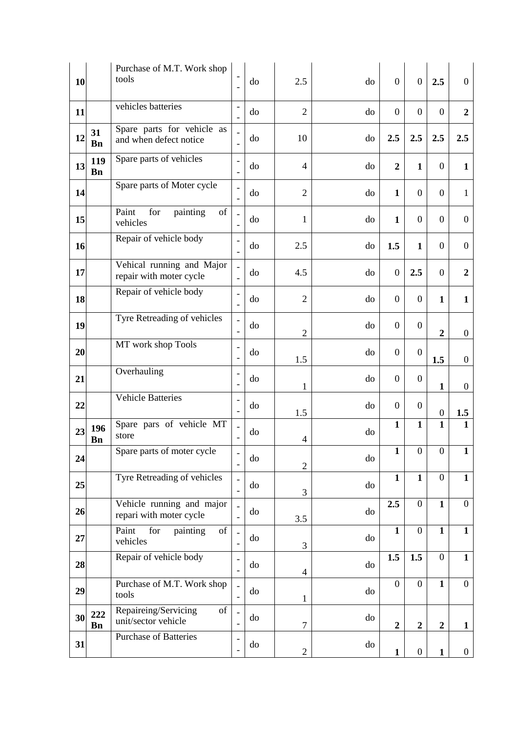| 10 |                  | Purchase of M.T. Work shop<br>tools                                                                                                               | $\overline{\phantom{0}}$ | do       | 2.5                      | do | $\boldsymbol{0}$ | $\boldsymbol{0}$ | 2.5              | $\overline{0}$   |
|----|------------------|---------------------------------------------------------------------------------------------------------------------------------------------------|--------------------------|----------|--------------------------|----|------------------|------------------|------------------|------------------|
| 11 |                  | vehicles batteries                                                                                                                                |                          | do       | $\overline{2}$           | do | $\overline{0}$   | $\overline{0}$   | $\overline{0}$   | $\boldsymbol{2}$ |
| 12 | 31<br><b>Bn</b>  | Spare parts for vehicle as<br>and when defect notice                                                                                              |                          | do       | 10                       | do | 2.5              | 2.5              | 2.5              | 2.5              |
| 13 | 119<br><b>Bn</b> | Spare parts of vehicles                                                                                                                           | ۰                        | do       | $\overline{4}$           | do | $\overline{2}$   | $\mathbf{1}$     | $\mathbf{0}$     | 1                |
| 14 |                  | Spare parts of Moter cycle                                                                                                                        |                          | do       | $\overline{2}$           | do | $\mathbf{1}$     | $\overline{0}$   | $\overline{0}$   | $\mathbf{1}$     |
| 15 |                  | Paint<br>for<br>of<br>painting<br>vehicles                                                                                                        |                          | do       | 1                        | do | $\mathbf{1}$     | $\overline{0}$   | $\mathbf{0}$     | $\overline{0}$   |
| 16 |                  | Repair of vehicle body                                                                                                                            | $\overline{\phantom{0}}$ | do       | 2.5                      | do | 1.5              | $\mathbf{1}$     | $\overline{0}$   | $\overline{0}$   |
| 17 |                  | Vehical running and Major<br>repair with moter cycle                                                                                              |                          | do       | 4.5                      | do | $\boldsymbol{0}$ | 2.5              | $\overline{0}$   | $\boldsymbol{2}$ |
| 18 |                  | Repair of vehicle body                                                                                                                            | $\overline{\phantom{0}}$ | do       | $\overline{2}$           | do | $\boldsymbol{0}$ | $\theta$         | $\mathbf{1}$     | $\mathbf{1}$     |
| 19 |                  | Tyre Retreading of vehicles                                                                                                                       | $\overline{a}$           | do       | $\overline{2}$           | do | $\overline{0}$   | $\overline{0}$   | $\overline{2}$   | $\overline{0}$   |
| 20 |                  | MT work shop Tools                                                                                                                                |                          | do       | 1.5                      | do | $\overline{0}$   | $\overline{0}$   | 1.5              | $\overline{0}$   |
| 21 |                  | Overhauling                                                                                                                                       |                          | do       | 1                        | do | $\boldsymbol{0}$ | $\overline{0}$   | $\mathbf{1}$     | $\mathbf{0}$     |
| 22 |                  | <b>Vehicle Batteries</b>                                                                                                                          | ۰                        | do       | 1.5                      | do | $\overline{0}$   | $\boldsymbol{0}$ | $\boldsymbol{0}$ | 1.5              |
| 23 | 196<br>Bn        | Spare pars of vehicle MT<br>store                                                                                                                 |                          | do       | $\overline{\mathcal{A}}$ | do | $\mathbf{1}$     | $\mathbf{1}$     | $\mathbf{1}$     | $\mathbf{1}$     |
| 24 |                  | Spare parts of moter cycle                                                                                                                        |                          | $\rm do$ | $\overline{2}$           | do | $\mathbf{1}$     | $\Omega$         | $\Omega$         | $\mathbf{1}$     |
| 25 |                  | Tyre Retreading of vehicles                                                                                                                       |                          | do       | 3                        | do | $\mathbf{1}$     | $\mathbf{1}$     | $\overline{0}$   | $\mathbf{1}$     |
| 26 |                  | Vehicle running and major<br>repari with moter cycle                                                                                              |                          | do       | 3.5                      | do | 2.5              | $\overline{0}$   | $\mathbf{1}$     | $\overline{0}$   |
| 27 |                  | Paint<br>for<br>of<br>painting<br>vehicles                                                                                                        |                          | do       | 3                        | do | $\mathbf{1}$     | $\overline{0}$   | $\mathbf{1}$     | $\mathbf{1}$     |
| 28 |                  | Repair of vehicle body                                                                                                                            |                          | do       | $\overline{4}$           | do | 1.5              | 1.5              | $\overline{0}$   | $\mathbf{1}$     |
| 29 |                  | Purchase of M.T. Work shop<br>tools                                                                                                               |                          | do       | 1                        | do | $\overline{0}$   | $\mathbf{0}$     | $\mathbf{1}$     | $\overline{0}$   |
| 30 | 222<br>Bn        | Repaireing/Servicing<br>$% \left( \left( \mathcal{A},\mathcal{A}\right) \right) =\left( \mathcal{A},\mathcal{A}\right)$ of<br>unit/sector vehicle |                          | do       | $\tau$                   | do | $\boldsymbol{2}$ | $\boldsymbol{2}$ | $\overline{2}$   | $\mathbf{1}$     |
| 31 |                  | Purchase of Batteries                                                                                                                             |                          | do       | $\mathbf{2}$             | do | $\mathbf{1}$     | $\boldsymbol{0}$ | $\mathbf{1}$     | $\overline{0}$   |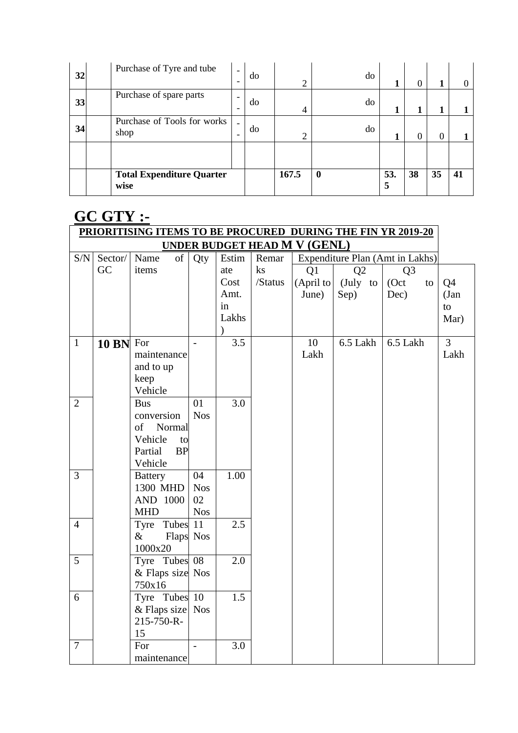| 32 | Purchase of Tyre and tube                | -              | do | ◠     | do               | 1        | 0  |          |    |
|----|------------------------------------------|----------------|----|-------|------------------|----------|----|----------|----|
| 33 | Purchase of spare parts                  | ۰<br>-         | do | 4     | do               | 1        |    |          |    |
| 34 | Purchase of Tools for works<br>shop      | $\overline{a}$ | do | ◠     | do               | 1        | 0  | $\Omega$ |    |
|    |                                          |                |    |       |                  |          |    |          |    |
|    | <b>Total Expenditure Quarter</b><br>wise |                |    | 167.5 | $\boldsymbol{0}$ | 53.<br>5 | 38 | 35       | 41 |

#### **GC GTY :- PRIORITISING ITEMS TO BE PROCURED DURING THE FIN YR 2019-20 UNDER BUDGET HEAD M V (GENL)** S/N Sector/ GC Name of items Qty Estim ate Cost Amt. in Lakhs  $\lambda$ Remar ks /Status Expenditure Plan (Amt in Lakhs) Q1 (April to June) Q2 (July to Sep) Q3 (Oct to Dec) Q4 (Jan to Mar) 1 **10 BN** For maintenance and to up keep Vehicle  $- 3.5$  10 Lakh 6.5 Lakh 6.5 Lakh 3 Lakh 2 Bus conversion of Normal Vehicle to Partial BP Vehicle 01 Nos 3.0 3 Battery 1300 MHD AND 1000 MHD 04 Nos 02 Nos 1.00 4 | Tyre Tubes 11 & Flaps Nos 1000x20 2.5 5 Tyre Tubes & Flaps size Nos 750x16 08 2.0 6 Tyre Tubes 10 & Flaps size Nos 215-750-R-15 1.5 7 For maintenance  $- 3.0$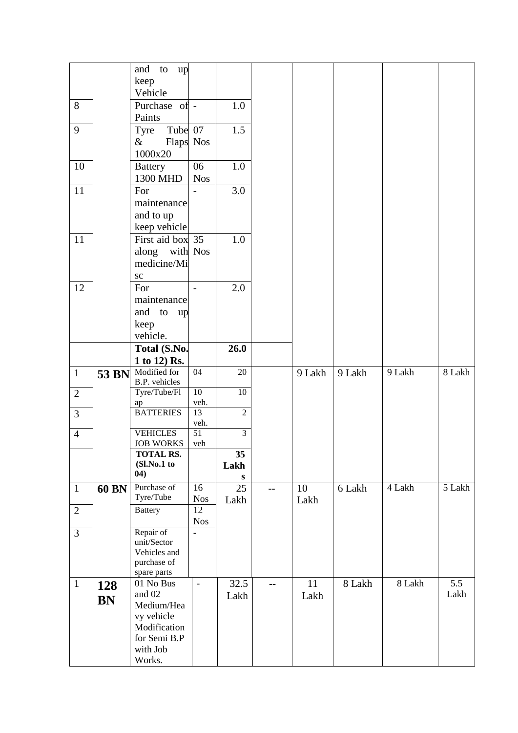|                |       | and<br>to<br>up<br>keep             |                 |                 |     |        |        |        |        |
|----------------|-------|-------------------------------------|-----------------|-----------------|-----|--------|--------|--------|--------|
|                |       | Vehicle                             |                 |                 |     |        |        |        |        |
| 8              |       | Purchase of -                       |                 | 1.0             |     |        |        |        |        |
|                |       | Paints                              |                 |                 |     |        |        |        |        |
| 9              |       | Tube 07<br>Tyre                     |                 | 1.5             |     |        |        |        |        |
|                |       | $\&$<br>Flaps Nos                   |                 |                 |     |        |        |        |        |
|                |       | 1000x20                             |                 |                 |     |        |        |        |        |
| 10             |       | <b>Battery</b>                      | 06              | 1.0             |     |        |        |        |        |
|                |       | 1300 MHD                            | <b>Nos</b>      |                 |     |        |        |        |        |
| 11             |       | For                                 |                 | 3.0             |     |        |        |        |        |
|                |       | maintenance                         |                 |                 |     |        |        |        |        |
|                |       | and to up                           |                 |                 |     |        |        |        |        |
|                |       | keep vehicle                        |                 |                 |     |        |        |        |        |
| 11             |       | First aid box 35                    |                 | 1.0             |     |        |        |        |        |
|                |       | along with Nos                      |                 |                 |     |        |        |        |        |
|                |       | medicine/Mi                         |                 |                 |     |        |        |        |        |
|                |       | <b>SC</b>                           |                 |                 |     |        |        |        |        |
| 12             |       | For                                 | $\blacksquare$  | 2.0             |     |        |        |        |        |
|                |       | maintenance                         |                 |                 |     |        |        |        |        |
|                |       | and<br>to up<br>keep                |                 |                 |     |        |        |        |        |
|                |       | vehicle.                            |                 |                 |     |        |        |        |        |
|                |       | Total (S.No.                        |                 | 26.0            |     |        |        |        |        |
|                |       | 1 to 12) Rs.                        |                 |                 |     |        |        |        |        |
|                |       |                                     |                 |                 |     |        |        |        |        |
| $\mathbf{1}$   |       |                                     | $\overline{04}$ | 20              |     | 9 Lakh | 9 Lakh | 9 Lakh | 8 Lakh |
|                |       | 53 BN Modified for<br>B.P. vehicles |                 |                 |     |        |        |        |        |
| $\overline{2}$ |       | Tyre/Tube/Fl                        | $\overline{10}$ | $\overline{10}$ |     |        |        |        |        |
|                |       | ap                                  | veh.            |                 |     |        |        |        |        |
| $\overline{3}$ |       | <b>BATTERIES</b>                    | 13<br>veh.      | $\overline{2}$  |     |        |        |        |        |
| $\overline{4}$ |       | <b>VEHICLES</b>                     | 51              | $\overline{3}$  |     |        |        |        |        |
|                |       | <b>JOB WORKS</b>                    | veh             |                 |     |        |        |        |        |
|                |       | TOTAL RS.                           |                 | 35              |     |        |        |        |        |
|                |       | (Sl.No.1 to<br>04)                  |                 | Lakh<br>S       |     |        |        |        |        |
| $\mathbf{1}$   | 60 BN | Purchase of                         | 16              | 25              | --  | 10     | 6 Lakh | 4 Lakh | 5 Lakh |
|                |       | Tyre/Tube                           | <b>Nos</b>      | Lakh            |     | Lakh   |        |        |        |
| $\mathbf{2}$   |       | Battery                             | 12              |                 |     |        |        |        |        |
|                |       |                                     | <b>Nos</b>      |                 |     |        |        |        |        |
| $\overline{3}$ |       | Repair of                           |                 |                 |     |        |        |        |        |
|                |       | unit/Sector<br>Vehicles and         |                 |                 |     |        |        |        |        |
|                |       | purchase of                         |                 |                 |     |        |        |        |        |
|                |       | spare parts                         |                 |                 |     |        |        |        |        |
| $\mathbf{1}$   | 128   | 01 No Bus                           | $\frac{1}{2}$   | 32.5            | $-$ | 11     | 8 Lakh | 8 Lakh | 5.5    |
|                | BN    | and 02<br>Medium/Hea                |                 | Lakh            |     | Lakh   |        |        | Lakh   |
|                |       | vy vehicle                          |                 |                 |     |        |        |        |        |
|                |       | Modification                        |                 |                 |     |        |        |        |        |
|                |       | for Semi B.P                        |                 |                 |     |        |        |        |        |
|                |       | with Job<br>Works.                  |                 |                 |     |        |        |        |        |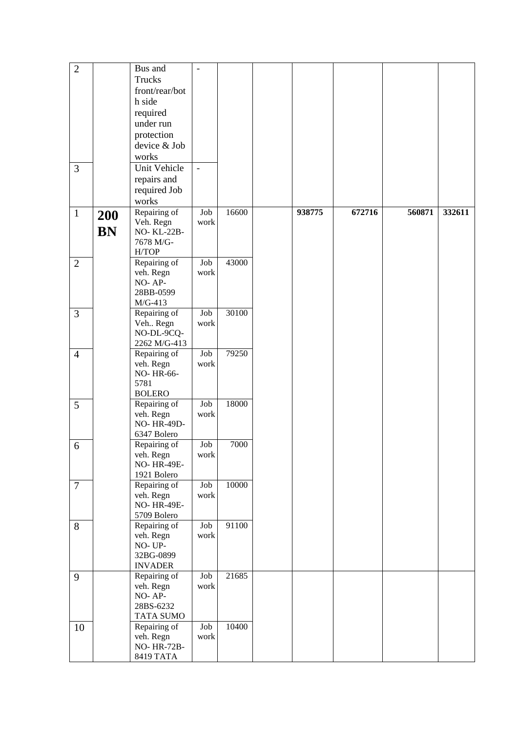| $\overline{2}$ |           | Bus and             | $\overline{\phantom{0}}$ |       |        |        |        |        |
|----------------|-----------|---------------------|--------------------------|-------|--------|--------|--------|--------|
|                |           | Trucks              |                          |       |        |        |        |        |
|                |           | front/rear/bot      |                          |       |        |        |        |        |
|                |           | h side              |                          |       |        |        |        |        |
|                |           | required            |                          |       |        |        |        |        |
|                |           | under run           |                          |       |        |        |        |        |
|                |           |                     |                          |       |        |        |        |        |
|                |           | protection          |                          |       |        |        |        |        |
|                |           | device & Job        |                          |       |        |        |        |        |
|                |           | works               |                          |       |        |        |        |        |
| 3              |           | <b>Unit Vehicle</b> | $\overline{a}$           |       |        |        |        |        |
|                |           | repairs and         |                          |       |        |        |        |        |
|                |           | required Job        |                          |       |        |        |        |        |
|                |           | works               |                          |       |        |        |        |        |
| $\mathbf{1}$   |           | Repairing of        | Job                      | 16600 | 938775 | 672716 | 560871 | 332611 |
|                | 200       | Veh. Regn           | work                     |       |        |        |        |        |
|                | <b>BN</b> | <b>NO-KL-22B-</b>   |                          |       |        |        |        |        |
|                |           | 7678 M/G-           |                          |       |        |        |        |        |
|                |           | H/TOP               |                          |       |        |        |        |        |
| $\overline{2}$ |           | Repairing of        | Job                      | 43000 |        |        |        |        |
|                |           | veh. Regn           | work                     |       |        |        |        |        |
|                |           | NO-AP-              |                          |       |        |        |        |        |
|                |           | 28BB-0599           |                          |       |        |        |        |        |
|                |           | $M/G-413$           |                          |       |        |        |        |        |
| 3              |           | Repairing of        | Job                      | 30100 |        |        |        |        |
|                |           | Veh Regn            | work                     |       |        |        |        |        |
|                |           | NO-DL-9CQ-          |                          |       |        |        |        |        |
|                |           | 2262 M/G-413        |                          |       |        |        |        |        |
| $\overline{4}$ |           | Repairing of        | Job                      | 79250 |        |        |        |        |
|                |           | veh. Regn           | work                     |       |        |        |        |        |
|                |           | NO-HR-66-           |                          |       |        |        |        |        |
|                |           | 5781                |                          |       |        |        |        |        |
|                |           | <b>BOLERO</b>       |                          |       |        |        |        |        |
| 5              |           | Repairing of        | Job                      | 18000 |        |        |        |        |
|                |           | veh. Regn           | work                     |       |        |        |        |        |
|                |           | NO-HR-49D-          |                          |       |        |        |        |        |
|                |           | 6347 Bolero         |                          |       |        |        |        |        |
| 6              |           | Repairing of        | Job                      | 7000  |        |        |        |        |
|                |           | veh. Regn           | work                     |       |        |        |        |        |
|                |           | <b>NO-HR-49E-</b>   |                          |       |        |        |        |        |
|                |           | 1921 Bolero         |                          |       |        |        |        |        |
| $\overline{7}$ |           | Repairing of        | Job                      | 10000 |        |        |        |        |
|                |           | veh. Regn           | work                     |       |        |        |        |        |
|                |           | <b>NO-HR-49E-</b>   |                          |       |        |        |        |        |
|                |           | 5709 Bolero         |                          |       |        |        |        |        |
| 8              |           | Repairing of        | Job                      | 91100 |        |        |        |        |
|                |           | veh. Regn           | work                     |       |        |        |        |        |
|                |           | NO-UP-              |                          |       |        |        |        |        |
|                |           | 32BG-0899           |                          |       |        |        |        |        |
|                |           | <b>INVADER</b>      |                          |       |        |        |        |        |
| 9              |           | Repairing of        | Job                      | 21685 |        |        |        |        |
|                |           | veh. Regn           | work                     |       |        |        |        |        |
|                |           | NO-AP-              |                          |       |        |        |        |        |
|                |           | 28BS-6232           |                          |       |        |        |        |        |
|                |           | <b>TATA SUMO</b>    |                          |       |        |        |        |        |
| 10             |           | Repairing of        | Job                      | 10400 |        |        |        |        |
|                |           | veh. Regn           | work                     |       |        |        |        |        |
|                |           | NO-HR-72B-          |                          |       |        |        |        |        |
|                |           | <b>8419 TATA</b>    |                          |       |        |        |        |        |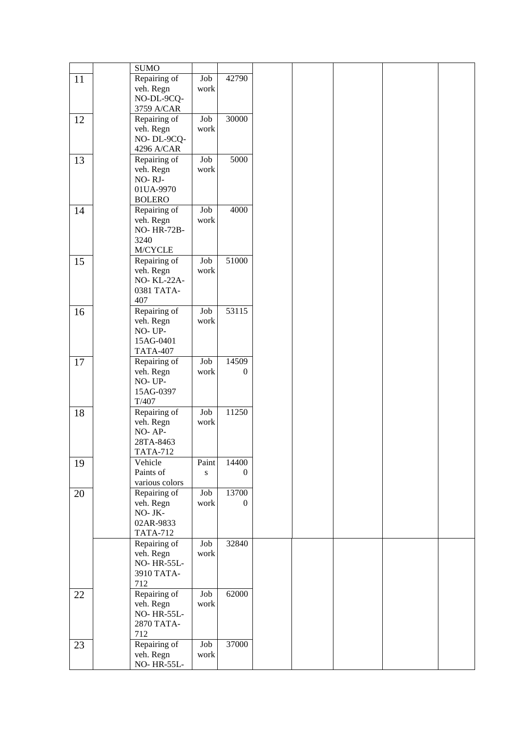|    | <b>SUMO</b>                     |                         |          |  |  |  |
|----|---------------------------------|-------------------------|----------|--|--|--|
| 11 | Repairing of                    | Job                     | 42790    |  |  |  |
|    | veh. Regn                       | work                    |          |  |  |  |
|    | NO-DL-9CQ-                      |                         |          |  |  |  |
|    | 3759 A/CAR                      |                         |          |  |  |  |
| 12 | Repairing of<br>veh. Regn       | Job<br>work             | 30000    |  |  |  |
|    | NO-DL-9CQ-                      |                         |          |  |  |  |
|    | 4296 A/CAR                      |                         |          |  |  |  |
| 13 | Repairing of                    | Job                     | 5000     |  |  |  |
|    | veh. Regn                       | work                    |          |  |  |  |
|    | NO-RJ-                          |                         |          |  |  |  |
|    | 01UA-9970<br><b>BOLERO</b>      |                         |          |  |  |  |
| 14 | Repairing of                    | Job                     | 4000     |  |  |  |
|    | veh. Regn                       | work                    |          |  |  |  |
|    | <b>NO-HR-72B-</b>               |                         |          |  |  |  |
|    | 3240                            |                         |          |  |  |  |
|    | M/CYCLE<br>Repairing of         | Job                     | 51000    |  |  |  |
| 15 | veh. Regn                       | work                    |          |  |  |  |
|    | NO-KL-22A-                      |                         |          |  |  |  |
|    | 0381 TATA-                      |                         |          |  |  |  |
|    | 407                             |                         |          |  |  |  |
| 16 | Repairing of<br>veh. Regn       | Job<br>work             | 53115    |  |  |  |
|    | NO-UP-                          |                         |          |  |  |  |
|    | 15AG-0401                       |                         |          |  |  |  |
|    | <b>TATA-407</b>                 |                         |          |  |  |  |
| 17 | Repairing of                    | ${\rm Job}$             | 14509    |  |  |  |
|    | veh. Regn<br>NO-UP-             | work                    | $\theta$ |  |  |  |
|    | 15AG-0397                       |                         |          |  |  |  |
|    | T/407                           |                         |          |  |  |  |
| 18 | Repairing of                    | Job                     | 11250    |  |  |  |
|    | veh. Regn                       | work                    |          |  |  |  |
|    | NO-AP-                          |                         |          |  |  |  |
|    | 28TA-8463<br><b>TATA-712</b>    |                         |          |  |  |  |
| 19 | Vehicle                         | Paint                   | 14400    |  |  |  |
|    | Paints of                       | S                       | 0        |  |  |  |
|    | various colors                  |                         |          |  |  |  |
| 20 | Repairing of                    | $\overline{\text{Job}}$ | 13700    |  |  |  |
|    | veh. Regn<br>NO-JK-             | work                    | $\Omega$ |  |  |  |
|    | 02AR-9833                       |                         |          |  |  |  |
|    | <b>TATA-712</b>                 |                         |          |  |  |  |
|    | Repairing of                    | Job                     | 32840    |  |  |  |
|    | veh. Regn                       | work                    |          |  |  |  |
|    | <b>NO-HR-55L-</b><br>3910 TATA- |                         |          |  |  |  |
|    | 712                             |                         |          |  |  |  |
| 22 | Repairing of                    | Job                     | 62000    |  |  |  |
|    | veh. Regn                       | work                    |          |  |  |  |
|    | <b>NO-HR-55L-</b>               |                         |          |  |  |  |
|    | 2870 TATA-<br>712               |                         |          |  |  |  |
| 23 | Repairing of                    | Job                     | 37000    |  |  |  |
|    | veh. Regn                       | work                    |          |  |  |  |
|    | <b>NO-HR-55L-</b>               |                         |          |  |  |  |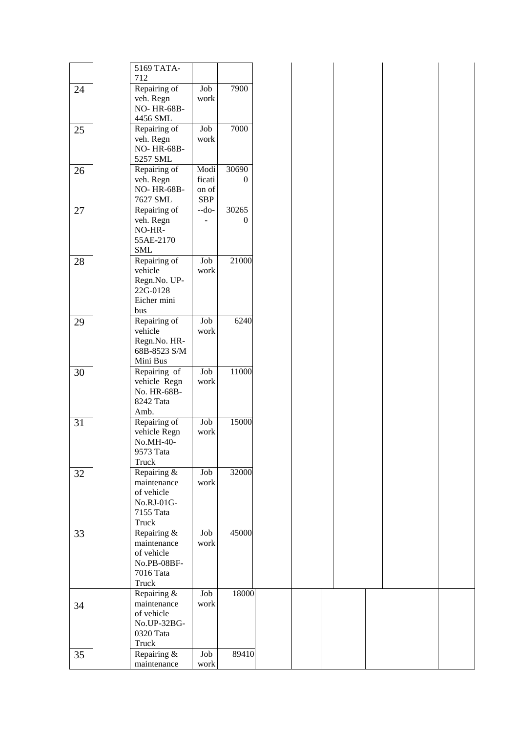|    | 5169 TATA-                |                     |              |
|----|---------------------------|---------------------|--------------|
|    | 712                       |                     |              |
| 24 | Repairing of              | Job                 | 7900         |
|    | veh. Regn                 | work                |              |
|    | <b>NO-HR-68B-</b>         |                     |              |
|    | 4456 SML                  |                     |              |
| 25 | Repairing of              | Job                 | 7000         |
|    | veh. Regn                 | work                |              |
|    | NO-HR-68B-                |                     |              |
|    | 5257 SML                  |                     |              |
| 26 | Repairing of              | Modi                | 30690        |
|    | veh. Regn                 | ficati              | $\mathbf{0}$ |
|    | NO-HR-68B-                | on of<br><b>SBP</b> |              |
|    | 7627 SML                  | $-do-$              | 30265        |
| 27 | Repairing of<br>veh. Regn |                     | $\mathbf{0}$ |
|    | NO-HR-                    |                     |              |
|    | 55AE-2170                 |                     |              |
|    | <b>SML</b>                |                     |              |
| 28 | Repairing of              | Job                 | 21000        |
|    | vehicle                   | work                |              |
|    | Regn.No. UP-              |                     |              |
|    | 22G-0128                  |                     |              |
|    | Eicher mini               |                     |              |
|    | bus                       |                     |              |
| 29 | Repairing of              | Job                 | 6240         |
|    | vehicle                   | work                |              |
|    | Regn.No. HR-              |                     |              |
|    | 68B-8523 S/M              |                     |              |
|    | Mini Bus                  |                     |              |
| 30 | Repairing of              | Job                 | 11000        |
|    | vehicle Regn              | work                |              |
|    | No. HR-68B-               |                     |              |
|    | 8242 Tata                 |                     |              |
|    | Amb.                      |                     |              |
| 31 | Repairing of              | Job                 | 15000        |
|    | vehicle Regn              | work                |              |
|    | No.MH-40-                 |                     |              |
|    | 9573 Tata                 |                     |              |
|    | Truck                     |                     |              |
| 32 | Repairing &               | Job                 | 32000        |
|    | maintenance               | work                |              |
|    | of vehicle<br>No.RJ-01G-  |                     |              |
|    | 7155 Tata                 |                     |              |
|    | Truck                     |                     |              |
| 33 | Repairing &               | Job                 | 45000        |
|    | maintenance               | work                |              |
|    | of vehicle                |                     |              |
|    | No.PB-08BF-               |                     |              |
|    | 7016 Tata                 |                     |              |
|    | Truck                     |                     |              |
|    | Repairing &               | Job                 | 18000        |
| 34 | maintenance               | work                |              |
|    | of vehicle                |                     |              |
|    | No.UP-32BG-               |                     |              |
|    | 0320 Tata                 |                     |              |
|    | Truck                     |                     |              |
| 35 | Repairing &               | Job                 | 89410        |
|    | maintenance               | work                |              |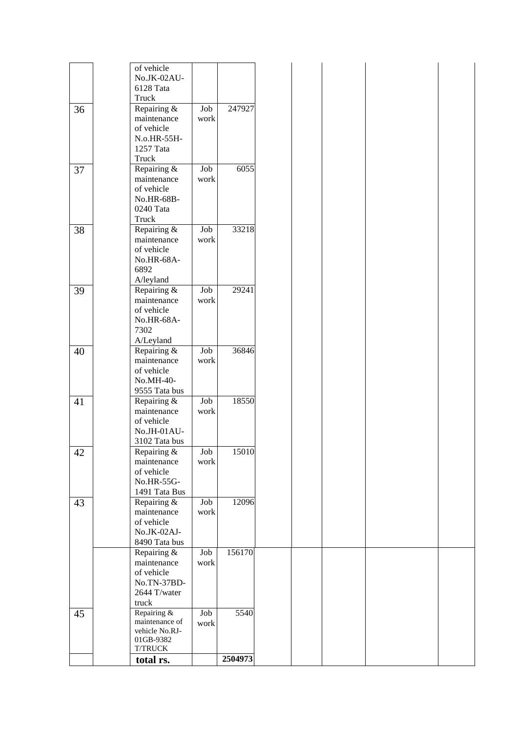|        | of vehicle                  |                   |         |
|--------|-----------------------------|-------------------|---------|
|        | No.JK-02AU-                 |                   |         |
|        | 6128 Tata                   |                   |         |
|        |                             |                   |         |
|        | Truck                       |                   |         |
| 36     | Repairing $\overline{\&}$   | Job               | 247927  |
|        | maintenance                 | work              |         |
|        | of vehicle                  |                   |         |
|        |                             |                   |         |
|        | N.o.HR-55H-                 |                   |         |
|        | 1257 Tata                   |                   |         |
|        | Truck                       |                   |         |
| 37     | Repairing &                 | Job               | 6055    |
|        |                             |                   |         |
|        | maintenance                 | work              |         |
|        | of vehicle                  |                   |         |
|        | No.HR-68B-                  |                   |         |
|        | 0240 Tata                   |                   |         |
|        | Truck                       |                   |         |
|        |                             |                   |         |
| 38     | Repairing &                 | $_{\mathrm{Job}}$ | 33218   |
|        | maintenance                 | work              |         |
|        | of vehicle                  |                   |         |
|        | No.HR-68A-                  |                   |         |
|        |                             |                   |         |
|        | 6892                        |                   |         |
|        | A/leyland                   |                   |         |
| 39     | Repairing &                 | $_{\rm Job}$      | 29241   |
|        | maintenance                 | work              |         |
|        |                             |                   |         |
|        | of vehicle                  |                   |         |
|        | No.HR-68A-                  |                   |         |
|        | 7302                        |                   |         |
|        | A/Leyland                   |                   |         |
|        |                             |                   |         |
| 40     | Repairing &                 | Job               | 36846   |
|        | maintenance                 | work              |         |
|        | of vehicle                  |                   |         |
|        |                             |                   |         |
|        | No.MH-40-                   |                   |         |
|        | 9555 Tata bus               |                   |         |
| 41     | Repairing &                 | Job               | 18550   |
|        | maintenance                 | work              |         |
|        |                             |                   |         |
|        | of vehicle                  |                   |         |
|        | No.JH-01AU-                 |                   |         |
|        | 3102 Tata bus               |                   |         |
|        | Repairing &                 | Job               | 15010   |
| $42\,$ |                             |                   |         |
|        | maintenance                 | work              |         |
|        | of vehicle                  |                   |         |
|        | No.HR-55G-                  |                   |         |
|        |                             |                   |         |
|        | 1491 Tata Bus               |                   |         |
| 43     | Repairing &                 | Job               | 12096   |
|        | maintenance                 | work              |         |
|        | of vehicle                  |                   |         |
|        |                             |                   |         |
|        | No.JK-02AJ-                 |                   |         |
|        | 8490 Tata bus               |                   |         |
|        | Repairing &                 | Job               | 156170  |
|        |                             |                   |         |
|        | maintenance                 | work              |         |
|        | of vehicle                  |                   |         |
|        | No.TN-37BD-                 |                   |         |
|        |                             |                   |         |
|        | 2644 T/water                |                   |         |
|        | truck                       |                   |         |
| 45     | Repairing &                 | Job               | 5540    |
|        | maintenance of              |                   |         |
|        |                             | work              |         |
|        | vehicle No.RJ-              |                   |         |
|        | 01GB-9382                   |                   |         |
|        |                             |                   |         |
|        |                             |                   |         |
|        | <b>T/TRUCK</b><br>total rs. |                   | 2504973 |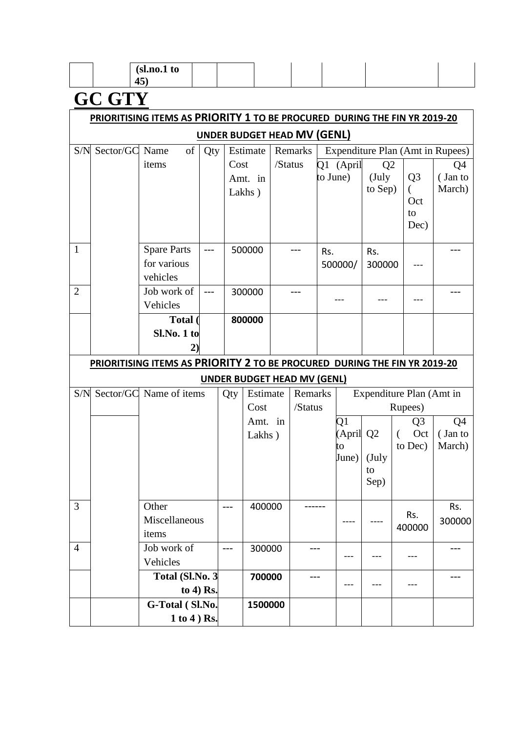| (sl.no.1 to |  |  |  |  |
|-------------|--|--|--|--|
| ╺           |  |  |  |  |
| ≖◡<br>__    |  |  |  |  |

# **GC GTY**

|                | PRIORITISING ITEMS AS PRIORITY 1 TO BE PROCURED DURING THE FIN YR 2019-20 |                         |       |       |                                    |         |         |          |           |                |                                  |         |
|----------------|---------------------------------------------------------------------------|-------------------------|-------|-------|------------------------------------|---------|---------|----------|-----------|----------------|----------------------------------|---------|
|                |                                                                           |                         |       |       | <b>UNDER BUDGET HEAD MV (GENL)</b> |         |         |          |           |                |                                  |         |
| S/N            | Sector/GC Name                                                            | of                      | Qty   |       | Estimate                           |         | Remarks |          |           |                | Expenditure Plan (Amt in Rupees) |         |
|                |                                                                           | items                   |       | Cost  |                                    | /Status |         |          | Q1 (April | Q2             |                                  | Q4      |
|                |                                                                           |                         |       |       | Amt. in                            |         |         | to June) |           | (July)         | Q <sub>3</sub>                   | (Jan to |
|                |                                                                           |                         |       |       | Lakhs)                             |         |         |          |           | to Sep)        | €<br>Oct                         | March)  |
|                |                                                                           |                         |       |       |                                    |         |         |          |           |                | to                               |         |
|                |                                                                           |                         |       |       |                                    |         |         |          |           |                | Dec)                             |         |
|                |                                                                           |                         |       |       |                                    |         |         |          |           |                |                                  |         |
| $\mathbf{1}$   |                                                                           | <b>Spare Parts</b>      | ---   |       | 500000                             |         |         | Rs.      |           | Rs.            |                                  |         |
|                |                                                                           | for various             |       |       |                                    |         |         |          | 500000/   | 300000         |                                  |         |
|                |                                                                           | vehicles                |       |       |                                    |         |         |          |           |                |                                  |         |
| $\overline{2}$ |                                                                           | Job work of             | $---$ |       | 300000                             |         |         |          |           |                |                                  |         |
|                |                                                                           | Vehicles<br>Total (     |       |       |                                    |         |         |          |           |                |                                  |         |
|                |                                                                           | Sl.No. 1 to             |       |       | 800000                             |         |         |          |           |                |                                  |         |
|                |                                                                           | $\mathbf{2}$            |       |       |                                    |         |         |          |           |                |                                  |         |
|                | PRIORITISING ITEMS AS PRIORITY 2 TO BE PROCURED DURING THE FIN YR 2019-20 |                         |       |       |                                    |         |         |          |           |                |                                  |         |
|                | <b>UNDER BUDGET HEAD MV (GENL)</b>                                        |                         |       |       |                                    |         |         |          |           |                |                                  |         |
| S/N            |                                                                           | Sector/GC Name of items |       | Qty   | Estimate                           |         | Remarks |          |           |                | Expenditure Plan (Amt in         |         |
|                |                                                                           |                         |       |       | Cost                               |         | /Status |          |           |                | Rupees)                          |         |
|                |                                                                           |                         |       |       | Amt. in                            |         |         |          | Q1        |                | Q <sub>3</sub>                   | Q4      |
|                |                                                                           |                         |       |       | Lakhs)                             |         |         |          | (April    | Q <sub>2</sub> | Oct<br>$\left($                  | (Jan to |
|                |                                                                           |                         |       |       |                                    |         |         |          | to        |                | to Dec)                          | March)  |
|                |                                                                           |                         |       |       |                                    |         |         |          | June)     | (July          |                                  |         |
|                |                                                                           |                         |       |       |                                    |         |         |          |           | to<br>Sep)     |                                  |         |
|                |                                                                           |                         |       |       |                                    |         |         |          |           |                |                                  |         |
| 3              |                                                                           | Other                   |       | $---$ | 400000                             |         |         |          |           |                |                                  | Rs.     |
|                |                                                                           | Miscellaneous           |       |       |                                    |         |         |          |           |                | Rs.<br>400000                    | 300000  |
|                |                                                                           | items                   |       |       |                                    |         |         |          |           |                |                                  |         |
| $\overline{4}$ |                                                                           | Job work of             |       | $---$ | 300000                             |         | ---     |          | ---       |                |                                  |         |
|                |                                                                           | Vehicles                |       |       |                                    |         |         |          |           |                |                                  |         |
|                |                                                                           | Total (Sl.No. 3         |       |       | 700000                             |         | ---     |          |           |                |                                  |         |
|                |                                                                           | to 4) Rs.               |       |       |                                    |         |         |          |           |                |                                  |         |
|                |                                                                           | G-Total (Sl.No.         |       |       | 1500000                            |         |         |          |           |                |                                  |         |
|                |                                                                           | 1 to 4 ) Rs.            |       |       |                                    |         |         |          |           |                |                                  |         |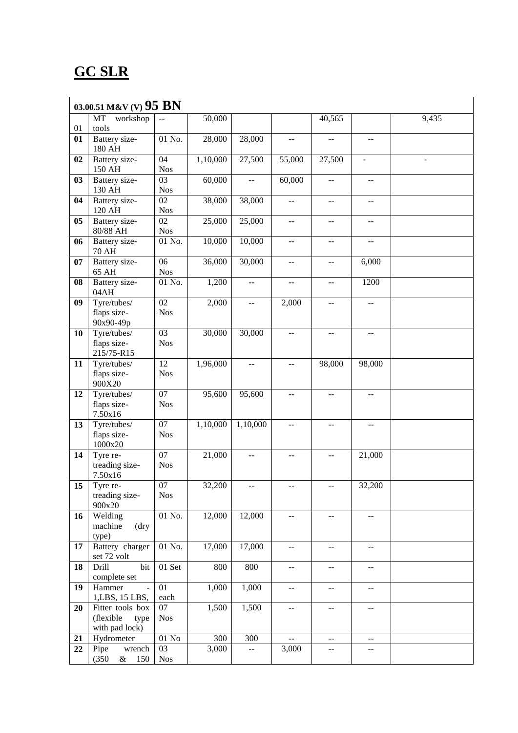### **GC SLR**

|    | 03.00.51 M&V (V) $95 \, BN$              |                               |                    |                                               |                          |                                           |                                               |       |  |  |  |  |
|----|------------------------------------------|-------------------------------|--------------------|-----------------------------------------------|--------------------------|-------------------------------------------|-----------------------------------------------|-------|--|--|--|--|
|    | MT<br>workshop                           | $-$                           | 50,000             |                                               |                          | 40,565                                    |                                               | 9,435 |  |  |  |  |
| 01 | tools                                    |                               |                    |                                               |                          |                                           |                                               |       |  |  |  |  |
| 01 | Battery size-<br>180 AH                  | 01 No.                        | 28,000             | 28,000                                        | $-$                      | $-$                                       | --                                            |       |  |  |  |  |
| 02 | Battery size-<br>150 AH                  | 04<br><b>Nos</b>              | 1,10,000           | 27,500                                        | 55,000                   | 27,500                                    |                                               |       |  |  |  |  |
| 03 | Battery size-<br>130 AH                  | 03<br><b>Nos</b>              | 60,000             |                                               | 60,000                   | $-$                                       |                                               |       |  |  |  |  |
| 04 | Battery size-                            | 02                            | 38,000             | 38,000                                        | $-$                      |                                           |                                               |       |  |  |  |  |
|    | 120 AH                                   | <b>Nos</b>                    |                    |                                               |                          | --                                        |                                               |       |  |  |  |  |
| 05 | Battery size-<br>80/88 AH                | 02<br><b>Nos</b>              | 25,000             | 25,000                                        | $- -$                    | --                                        | $-$                                           |       |  |  |  |  |
| 06 | Battery size-<br><b>70 AH</b>            | 01 No.                        | 10,000             | 10,000                                        | $\overline{a}$           | $-$                                       | $-$                                           |       |  |  |  |  |
| 07 | Battery size-<br>65 AH                   | 06<br><b>Nos</b>              | 36,000             | 30,000                                        | $- -$                    | $-$                                       | 6,000                                         |       |  |  |  |  |
| 08 | Battery size-<br>04AH                    | 01 No.                        | 1,200              | $\mathord{\hspace{1pt}\text{--}\hspace{1pt}}$ | $\overline{\phantom{m}}$ | $\mathrel{{-}\mathrel{{-}}\mathrel{{-}}}$ | 1200                                          |       |  |  |  |  |
| 09 | Tyre/tubes/<br>flaps size-<br>90x90-49p  | 02<br><b>Nos</b>              | 2,000              | $\mathord{\hspace{1pt}\text{--}\hspace{1pt}}$ | 2,000                    | $-$                                       | $-$                                           |       |  |  |  |  |
| 10 | Tyre/tubes/<br>flaps size-<br>215/75-R15 | 03<br><b>Nos</b>              | 30,000             | 30,000                                        | $\overline{\phantom{m}}$ | --                                        | --                                            |       |  |  |  |  |
| 11 | Tyre/tubes/<br>flaps size-<br>900X20     | $\overline{12}$<br><b>Nos</b> | 1,96,000           | --                                            | $-$                      | 98,000                                    | 98,000                                        |       |  |  |  |  |
| 12 | Tyre/tubes/<br>flaps size-<br>7.50x16    | 07<br><b>Nos</b>              | 95,600             | 95,600                                        | --                       | --                                        | --                                            |       |  |  |  |  |
| 13 | Tyre/tubes/<br>flaps size-<br>1000x20    | 07<br><b>Nos</b>              | 1,10,000           | 1,10,000                                      | $- -$                    | $-$                                       | $-$                                           |       |  |  |  |  |
| 14 | Tyre re-<br>treading size-<br>7.50x16    | $\overline{07}$<br><b>Nos</b> | 21,000             | --                                            | $\overline{\phantom{a}}$ | $-$                                       | 21,000                                        |       |  |  |  |  |
| 15 | Tyre re-<br>treading size-<br>900x20     | 07<br><b>Nos</b>              | 32,200             | $- -$                                         | --                       | --                                        | 32,200                                        |       |  |  |  |  |
| 16 | Welding<br>machine<br>(dry)<br>type)     | 01 No.                        | 12,000             | 12,000                                        | $\mathcal{L} =$          | --                                        | --                                            |       |  |  |  |  |
| 17 | Battery charger<br>set 72 volt           | $01$ No. $\,$                 | 17,000             | 17,000                                        | $- -$                    | $-$                                       | $\overline{\phantom{a}}$                      |       |  |  |  |  |
| 18 | bit<br>Drill<br>complete set             | 01 Set                        | 800                | 800                                           | $\mathcal{L} =$          | $-$                                       | $- -$                                         |       |  |  |  |  |
| 19 | Hammer<br>1,LBS, 15 LBS,                 | 01<br>each                    | 1,000              | 1,000                                         | $\mathcal{L} =$          | $-$                                       | $- -$                                         |       |  |  |  |  |
| 20 | Fitter tools box                         | 07                            | 1,500              | 1,500                                         | $\overline{a}$           | $-$                                       | $\mathcal{L} =$                               |       |  |  |  |  |
|    | (flexible<br>type<br>with pad lock)      | <b>Nos</b>                    |                    |                                               |                          |                                           |                                               |       |  |  |  |  |
| 21 | Hydrometer                               | $01\ \mathrm{No}$             | 300                | 300                                           | $\overline{\phantom{a}}$ | $-$                                       | $\mathord{\hspace{1pt}\text{--}\hspace{1pt}}$ |       |  |  |  |  |
| 22 | Pipe<br>wrench                           | 03                            | $\overline{3,000}$ | $\overline{a}$                                | 3,000                    | $-$                                       | $-$                                           |       |  |  |  |  |
|    | (350)<br>& 150                           | <b>Nos</b>                    |                    |                                               |                          |                                           |                                               |       |  |  |  |  |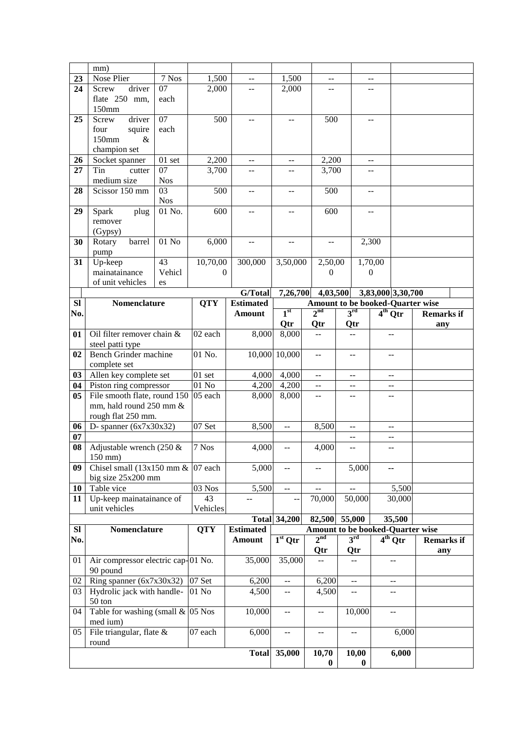|                 | mm)                                 |                 |            |                                               |                                               |                                               |                                                  |                                               |           |                   |  |
|-----------------|-------------------------------------|-----------------|------------|-----------------------------------------------|-----------------------------------------------|-----------------------------------------------|--------------------------------------------------|-----------------------------------------------|-----------|-------------------|--|
| 23              | Nose Plier                          | 7 Nos           | 1,500      | $\overline{a}$                                | 1,500                                         | $\overline{a}$                                |                                                  | $-$                                           |           |                   |  |
| 24              | driver<br>Screw                     | $\overline{07}$ | 2,000      |                                               | 2,000                                         |                                               |                                                  | --                                            |           |                   |  |
|                 | flate 250 mm,                       | each            |            |                                               |                                               |                                               |                                                  |                                               |           |                   |  |
|                 | 150mm                               |                 |            |                                               |                                               |                                               |                                                  |                                               |           |                   |  |
| 25              | driver<br><b>Screw</b>              | 07              | 500        | --                                            | $-1$                                          | 500                                           |                                                  | --                                            |           |                   |  |
|                 | squire<br>four                      | each            |            |                                               |                                               |                                               |                                                  |                                               |           |                   |  |
|                 | 150mm<br>$\&$                       |                 |            |                                               |                                               |                                               |                                                  |                                               |           |                   |  |
|                 | champion set                        |                 |            |                                               |                                               |                                               |                                                  |                                               |           |                   |  |
| 26              | Socket spanner                      | $01$ set        | 2,200      | $\mathord{\hspace{1pt}\text{--}\hspace{1pt}}$ | $\overline{\phantom{m}}$                      | 2,200                                         |                                                  | $\mathord{\hspace{1pt}\text{--}\hspace{1pt}}$ |           |                   |  |
| 27              | Tin<br>cutter                       | 07              | 3,700      | --                                            | --                                            | 3,700                                         |                                                  | --                                            |           |                   |  |
|                 | medium size                         | <b>Nos</b>      |            |                                               |                                               |                                               |                                                  |                                               |           |                   |  |
| 28              | Scissor 150 mm                      | 03              | 500        | $\mathord{\hspace{1pt}\text{--}\hspace{1pt}}$ | $- -$                                         | 500                                           |                                                  | $- -$                                         |           |                   |  |
|                 |                                     | <b>Nos</b>      |            |                                               |                                               |                                               |                                                  |                                               |           |                   |  |
| 29              | Spark<br>plug                       | 01 No.          | 600        | $\overline{a}$                                | --                                            | 600                                           |                                                  | --                                            |           |                   |  |
|                 | remover                             |                 |            |                                               |                                               |                                               |                                                  |                                               |           |                   |  |
|                 | (Gypsy)                             |                 |            |                                               |                                               |                                               |                                                  |                                               |           |                   |  |
| 30              | Rotary<br>barrel                    | $01$ No         | 6,000      | $-$                                           | $\sim$ $\sim$                                 | $-$                                           |                                                  | 2,300                                         |           |                   |  |
|                 | pump                                |                 |            |                                               |                                               |                                               |                                                  |                                               |           |                   |  |
| 31              | Up-keep                             | 43              | 10,70,00   | 300,000                                       | 3,50,000                                      | 2,50,00                                       |                                                  | 1,70,00                                       |           |                   |  |
|                 | mainatainance                       | Vehicl          | $\Omega$   |                                               |                                               | $\boldsymbol{0}$                              |                                                  | $\boldsymbol{0}$                              |           |                   |  |
|                 | of unit vehicles                    | es              |            |                                               |                                               |                                               |                                                  |                                               |           |                   |  |
|                 |                                     |                 |            | G/Total                                       | 7,26,700                                      |                                               | 4,03,500                                         | 3,83,000 3,30,700                             |           |                   |  |
| SI              | Nomenclature                        |                 | <b>QTY</b> | <b>Estimated</b>                              |                                               |                                               | Amount to be booked-Quarter wise                 |                                               |           |                   |  |
| No.             |                                     |                 |            | <b>Amount</b>                                 | 1 <sup>st</sup>                               | 2 <sup>nd</sup>                               | 3 <sup>rd</sup>                                  | $4th$ Qtr                                     |           | <b>Remarks if</b> |  |
|                 |                                     |                 |            |                                               | Qtr                                           | Qtr                                           | Qtr                                              |                                               |           | any               |  |
| 01              | Oil filter remover chain &          |                 | 02 each    | 8,000                                         | 8,000                                         | --                                            | $-$                                              | $-$                                           |           |                   |  |
|                 | steel patti type                    |                 |            |                                               |                                               |                                               |                                                  |                                               |           |                   |  |
| 02              | Bench Grinder machine               |                 | 01 No.     |                                               | 10,000 10,000                                 | $\overline{a}$                                | --                                               | $-$                                           |           |                   |  |
|                 | complete set                        |                 |            |                                               |                                               |                                               |                                                  |                                               |           |                   |  |
| 03              | Allen key complete set              |                 | $01$ set   | 4,000                                         | 4,000                                         | $-$                                           | $-$                                              | $-$                                           |           |                   |  |
| 04              | Piston ring compressor              |                 | $01$ No    | 4,200                                         | 4,200                                         | --                                            | --                                               | $-$                                           |           |                   |  |
| 05 <sub>1</sub> | File smooth flate, round 150        |                 | 05 each    | 8,000                                         | 8,000                                         | $-$                                           | --                                               | --                                            |           |                   |  |
|                 | mm, hald round 250 mm &             |                 |            |                                               |                                               |                                               |                                                  |                                               |           |                   |  |
|                 | rough flat 250 mm.                  |                 |            |                                               |                                               |                                               |                                                  |                                               |           |                   |  |
| 06              | D- spanner $(6x7x30x32)$            |                 | 07 Set     | 8,500                                         | $\overline{a}$                                | 8,500                                         | $-$                                              | --                                            |           |                   |  |
| 07              |                                     |                 |            |                                               |                                               |                                               | --                                               | $-$                                           |           |                   |  |
| 08              | Adjustable wrench (250 $\&$         |                 | 7 Nos      | 4,000                                         | $- -$                                         | 4,000                                         | --                                               | --                                            |           |                   |  |
|                 | 150 mm)                             |                 |            |                                               |                                               |                                               |                                                  |                                               |           |                   |  |
| 09              | Chisel small (13x150 mm $&$ 07 each |                 |            | 5,000                                         | $- -$                                         | --                                            | 5,000                                            | --                                            |           |                   |  |
|                 | big size 25x200 mm                  |                 |            |                                               |                                               |                                               |                                                  |                                               |           |                   |  |
| 10              | Table vice                          |                 | $03$ Nos   | 5,500                                         | $\mathord{\hspace{1pt}\text{--}\hspace{1pt}}$ | $ -$                                          | 44                                               |                                               | 5,500     |                   |  |
| 11              | Up-keep mainatainance of            |                 | 43         | $-$                                           |                                               | 70,000                                        | 50,000                                           |                                               | 30,000    |                   |  |
|                 | unit vehicles                       |                 | Vehicles   |                                               |                                               |                                               |                                                  |                                               |           |                   |  |
|                 | Nomenclature                        |                 |            |                                               | <b>Total 34,200</b>                           |                                               | 82,500 55,000                                    |                                               | 35,500    |                   |  |
| SI<br>No.       |                                     |                 | <b>QTY</b> | <b>Estimated</b><br><b>Amount</b>             | $1st$ Qtr                                     | 2 <sup>nd</sup>                               | Amount to be booked-Quarter wise<br>$3^{\rm rd}$ |                                               | $4th$ Qtr | <b>Remarks</b> if |  |
|                 |                                     |                 |            |                                               |                                               | Qtr                                           | Qtr                                              |                                               |           | any               |  |
| 01              | Air compressor electric cap-01 No.  |                 |            | 35,000                                        | 35,000                                        | $\mathord{\hspace{1pt}\text{--}\hspace{1pt}}$ | $-$                                              |                                               | --        |                   |  |
|                 | 90 pound                            |                 |            |                                               |                                               |                                               |                                                  |                                               |           |                   |  |
| 02              | Ring spanner $(6x7x30x32)$          |                 | 07 Set     | 6,200                                         | $-$                                           | 6,200                                         | $\overline{\phantom{a}}$                         |                                               | --        |                   |  |
| 03              | Hydrolic jack with handle-          |                 | $01$ No    | 4,500                                         | $- -$                                         | 4,500                                         | $-$                                              |                                               | --        |                   |  |
|                 | 50 ton                              |                 |            |                                               |                                               |                                               |                                                  |                                               |           |                   |  |
| 04              | Table for washing (small $& 05$ Nos |                 |            | 10,000                                        | $-$                                           | $-$                                           | 10,000                                           |                                               | --        |                   |  |
|                 | med ium)                            |                 |            |                                               |                                               |                                               |                                                  |                                               |           |                   |  |
| 05              | File triangular, flate $\&$         |                 | 07 each    | 6,000                                         | $-$                                           | $\mathord{\hspace{1pt}\text{--}\hspace{1pt}}$ | $\overline{\phantom{a}}$                         |                                               | 6,000     |                   |  |
|                 | round                               |                 |            |                                               |                                               |                                               |                                                  |                                               |           |                   |  |
|                 |                                     |                 |            | <b>Total</b>                                  | 35,000                                        | 10,70<br>$\bf{0}$                             | 10,00<br>$\bf{0}$                                |                                               | 6,000     |                   |  |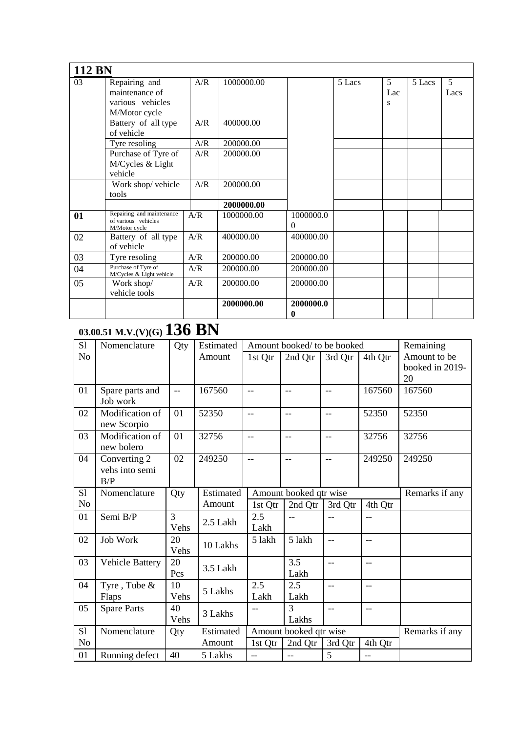| <b>112 BN</b> |                                                  |     |            |                       |        |     |        |      |
|---------------|--------------------------------------------------|-----|------------|-----------------------|--------|-----|--------|------|
| 03            | Repairing and                                    | A/R | 1000000.00 |                       | 5 Lacs | 5   | 5 Lacs | 5    |
|               | maintenance of                                   |     |            |                       |        | Lac |        | Lacs |
|               | various vehicles                                 |     |            |                       |        | S   |        |      |
|               | M/Motor cycle                                    |     |            |                       |        |     |        |      |
|               | Battery of all type                              | A/R | 400000.00  |                       |        |     |        |      |
|               | of vehicle                                       |     |            |                       |        |     |        |      |
|               | Tyre resoling                                    | A/R | 200000.00  |                       |        |     |        |      |
|               | Purchase of Tyre of                              | A/R | 200000.00  |                       |        |     |        |      |
|               | M/Cycles & Light                                 |     |            |                       |        |     |        |      |
|               | vehicle                                          |     |            |                       |        |     |        |      |
|               | Work shop/ vehicle                               | A/R | 200000.00  |                       |        |     |        |      |
|               | tools                                            |     |            |                       |        |     |        |      |
|               |                                                  |     | 2000000.00 |                       |        |     |        |      |
| 01            | Repairing and maintenance<br>of various vehicles | A/R | 1000000.00 | 1000000.0             |        |     |        |      |
|               | M/Motor cycle                                    |     |            | $\Omega$              |        |     |        |      |
| 02            | Battery of all type                              | A/R | 400000.00  | 400000.00             |        |     |        |      |
|               | of vehicle                                       |     |            |                       |        |     |        |      |
| 03            | Tyre resoling                                    | A/R | 200000.00  | 200000.00             |        |     |        |      |
| 04            | Purchase of Tyre of<br>M/Cycles & Light vehicle  | A/R | 200000.00  | 200000.00             |        |     |        |      |
| 05            | Work shop/                                       | A/R | 200000.00  | 200000.00             |        |     |        |      |
|               | vehicle tools                                    |     |            |                       |        |     |        |      |
|               |                                                  |     | 2000000.00 | 2000000.0<br>$\bf{0}$ |        |     |        |      |

## **03.00.51 M.V.(V)(G) 136 BN**

| S1             | Nomenclature           | Qty  | Estimated | Amount booked/ to be booked |                          | Remaining                |         |                 |
|----------------|------------------------|------|-----------|-----------------------------|--------------------------|--------------------------|---------|-----------------|
| N <sub>o</sub> |                        |      | Amount    | 1st Qtr                     | 2nd Qtr                  | 3rd Qtr                  | 4th Qtr | Amount to be    |
|                |                        |      |           |                             |                          |                          |         | booked in 2019- |
|                |                        |      |           |                             |                          |                          |         | 20              |
| 01             | Spare parts and        | Ц.,  | 167560    | $-$                         | $\overline{\phantom{m}}$ | $-$                      | 167560  | 167560          |
|                | Job work               |      |           |                             |                          |                          |         |                 |
| 02             | Modification of        | 01   | 52350     | $\overline{\phantom{a}}$    | --                       | $-$                      | 52350   | 52350           |
|                | new Scorpio            |      |           |                             |                          |                          |         |                 |
| 03             | Modification of        | 01   | 32756     | $-$                         | $-$                      | $-$                      | 32756   | 32756           |
|                | new bolero             |      |           |                             |                          |                          |         |                 |
| 04             | Converting 2           | 02   | 249250    | $-$                         | $-$                      | $-$                      | 249250  | 249250          |
|                | vehs into semi         |      |           |                             |                          |                          |         |                 |
|                | B/P                    |      |           |                             |                          |                          |         |                 |
| S1             | Nomenclature           | Qty  | Estimated |                             | Amount booked qtr wise   |                          |         | Remarks if any  |
| N <sub>o</sub> |                        |      | Amount    | 1st Qtr                     | 2nd Qtr                  | 3rd Qtr                  | 4th Qtr |                 |
| 01             | Semi B/P               | 3    | 2.5 Lakh  | 2.5                         | $-$                      | $-$                      | $-$     |                 |
|                |                        | Vehs |           | Lakh                        |                          |                          |         |                 |
| 02             | <b>Job Work</b>        | 20   | 10 Lakhs  | 5 lakh                      | 5 lakh                   | $-$                      | $-$     |                 |
|                |                        | Vehs |           |                             |                          |                          |         |                 |
| 03             | <b>Vehicle Battery</b> | 20   | 3.5 Lakh  |                             | 3.5                      | $-$                      | $-$     |                 |
|                |                        | Pcs  |           |                             | Lakh                     |                          |         |                 |
| 04             | Tyre, Tube &           | 10   | 5 Lakhs   | $\overline{2.5}$            | 2.5                      | $\sim$ $\sim$            | $-$     |                 |
|                | Flaps                  | Vehs |           | Lakh                        | Lakh                     |                          |         |                 |
| 05             | <b>Spare Parts</b>     | 40   | 3 Lakhs   |                             | 3                        | $\overline{\phantom{a}}$ | $-$     |                 |
|                |                        | Vehs |           |                             | Lakhs                    |                          |         |                 |
| S1             | Nomenclature           | Qty  | Estimated |                             | Amount booked qtr wise   |                          |         | Remarks if any  |
| N <sub>o</sub> |                        |      | Amount    | 1st Qtr                     | 2nd Qtr                  | 3rd Qtr                  | 4th Qtr |                 |
| 01             | Running defect         | 40   | 5 Lakhs   | $-$                         | $-$                      | 5                        | $-$     |                 |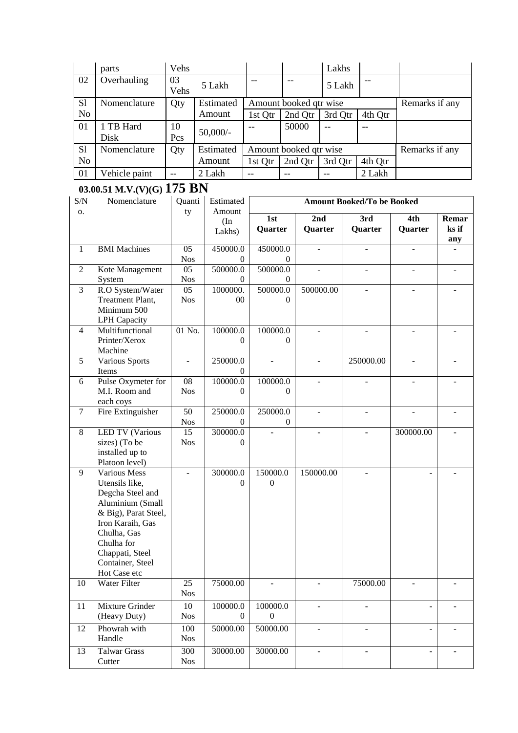|                | parts                                                                                                                                                                                                  | Vehs                          |                            |                                          |                          |                          | Lakhs                     |                                   |                |                |
|----------------|--------------------------------------------------------------------------------------------------------------------------------------------------------------------------------------------------------|-------------------------------|----------------------------|------------------------------------------|--------------------------|--------------------------|---------------------------|-----------------------------------|----------------|----------------|
| 02             | Overhauling                                                                                                                                                                                            | 03<br>Vehs                    | 5 Lakh                     | $\overline{\phantom{m}}$                 | $\overline{\phantom{m}}$ |                          | 5 Lakh                    |                                   |                |                |
| S1             | Nomenclature                                                                                                                                                                                           | Qty                           | Estimated                  | Amount booked qtr wise                   |                          |                          |                           |                                   | Remarks if any |                |
| N <sub>o</sub> |                                                                                                                                                                                                        |                               | Amount                     | 1st Qtr                                  |                          | 2nd Qtr                  | 3rd Qtr                   | 4th Qtr                           |                |                |
| 01             | 1 TB Hard<br>Disk                                                                                                                                                                                      | 10<br>Pcs                     | $50,000/-$                 | $-$                                      |                          | 50000                    | $-$                       | $-$                               |                |                |
| S1             | Nomenclature                                                                                                                                                                                           | Qty                           | Estimated                  | Amount booked qtr wise                   |                          |                          |                           |                                   | Remarks if any |                |
| N <sub>o</sub> |                                                                                                                                                                                                        |                               | Amount                     | 1st Qtr                                  |                          | 2nd Qtr                  | 3rd Qtr                   | 4th Qtr                           |                |                |
| 01             | Vehicle paint                                                                                                                                                                                          | 44                            | 2 Lakh                     | --                                       | $-$                      |                          | $\mathbb{L}^{\mathbb{L}}$ | 2 Lakh                            |                |                |
|                | 03.00.51 M.V.(V)(G) $175$ BN                                                                                                                                                                           |                               |                            |                                          |                          |                          |                           |                                   |                |                |
| S/N            | Nomenclature                                                                                                                                                                                           | Quanti                        | Estimated                  |                                          |                          |                          |                           | <b>Amount Booked/To be Booked</b> |                |                |
| О.             |                                                                                                                                                                                                        | ty                            | Amount<br>(In<br>Lakhs)    | 1st<br>Quarter                           |                          | 2nd<br>Quarter           |                           | $\overline{3}$ rd<br>Quarter      | 4th<br>Quarter | Remar<br>ks if |
| $\mathbf{1}$   | <b>BMI</b> Machines                                                                                                                                                                                    | 05<br><b>Nos</b>              | 450000.0<br>$\theta$       | 450000.0                                 | $\theta$                 |                          |                           |                                   |                | any            |
| $\mathbf{2}$   | Kote Management<br>System                                                                                                                                                                              | 05<br><b>Nos</b>              | 500000.0<br>$\Omega$       | 500000.0                                 | $\mathbf{0}$             |                          |                           |                                   |                |                |
| $\overline{3}$ | R.O System/Water<br><b>Treatment Plant,</b><br>Minimum 500<br><b>LPH</b> Capacity                                                                                                                      | $\overline{05}$<br><b>Nos</b> | 1000000.<br>00             | 500000.0                                 | $\theta$                 |                          | 500000.00                 |                                   |                |                |
| $\overline{4}$ | Multifunctional<br>Printer/Xerox<br>Machine                                                                                                                                                            | 01 No.                        | 100000.0<br>0              | 100000.0                                 | $\Omega$                 |                          |                           | $\overline{a}$                    |                |                |
| 5              | Various Sports<br>Items                                                                                                                                                                                | $\overline{\phantom{a}}$      | 250000.0<br>0              | ÷,                                       |                          | $\overline{\phantom{a}}$ |                           | 250000.00                         |                |                |
| 6              | Pulse Oxymeter for<br>M.I. Room and<br>each coys                                                                                                                                                       | 08<br><b>Nos</b>              | 100000.0<br>$\theta$       | 100000.0                                 | $\Omega$                 |                          |                           |                                   |                |                |
| $\tau$         | Fire Extinguisher                                                                                                                                                                                      | 50<br><b>Nos</b>              | 250000.0<br>$\Omega$       | 250000.0                                 | $\theta$                 | ÷,                       |                           |                                   |                |                |
| 8              | <b>LED TV (Various</b><br>sizes) (To be<br>installed up to<br>Platoon level)                                                                                                                           | 15<br><b>Nos</b>              | 300000.0<br>$\overline{0}$ |                                          |                          |                          |                           |                                   | 300000.00      |                |
| 9              | Various Mess<br>Utensils like,<br>Degcha Steel and<br>Aluminium (Small<br>& Big), Parat Steel,<br>Iron Karaih, Gas<br>Chulha, Gas<br>Chulha for<br>Chappati, Steel<br>Container, Steel<br>Hot Case etc |                               | 300000.0<br>$\theta$       | 150000.0<br>$\boldsymbol{0}$             |                          | 150000.00                |                           |                                   |                |                |
| 10             | Water Filter                                                                                                                                                                                           | 25<br><b>Nos</b>              | 75000.00                   |                                          |                          |                          |                           | 75000.00                          |                |                |
| 11             | Mixture Grinder<br>(Heavy Duty)                                                                                                                                                                        | 10<br><b>Nos</b>              | 100000.0                   | 100000.0<br>$\boldsymbol{0}$<br>$\theta$ |                          | ٠                        |                           |                                   |                |                |
| 12             | Phowrah with<br>Handle                                                                                                                                                                                 | 100<br><b>Nos</b>             | 50000.00                   | 50000.00                                 |                          | $\overline{\phantom{a}}$ |                           | $\overline{\phantom{0}}$          |                |                |
| 13             | <b>Talwar Grass</b><br>Cutter                                                                                                                                                                          | 300<br><b>Nos</b>             | 30000.00                   | 30000.00                                 |                          |                          |                           |                                   |                |                |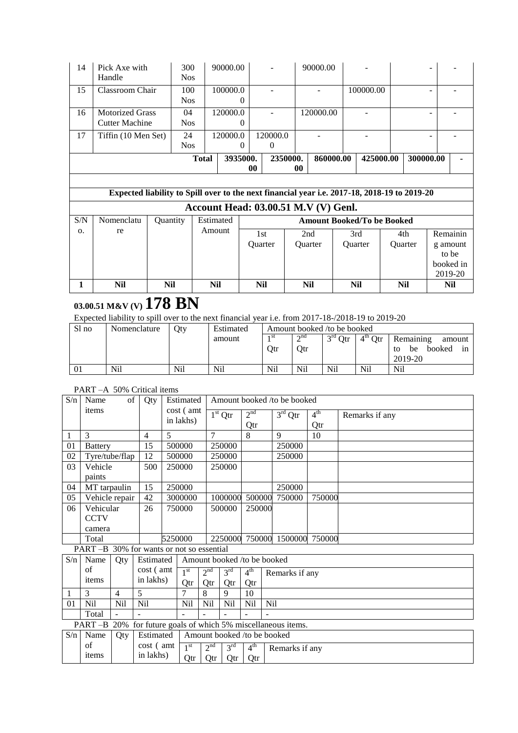| 14  | Pick Axe with                                                                                |          | 300          | 90000.00   |          |                                             |                | 90000.00  |                                   |           |                |           |
|-----|----------------------------------------------------------------------------------------------|----------|--------------|------------|----------|---------------------------------------------|----------------|-----------|-----------------------------------|-----------|----------------|-----------|
|     | Handle                                                                                       |          | <b>Nos</b>   |            |          |                                             |                |           |                                   |           |                |           |
| 15  | Classroom Chair                                                                              |          | 100          | 100000.0   |          |                                             |                |           | 100000.00                         |           |                |           |
|     |                                                                                              |          | <b>Nos</b>   |            | 0        |                                             |                |           |                                   |           |                |           |
| 16  | <b>Motorized Grass</b>                                                                       |          | 04           | 120000.0   |          |                                             |                | 120000.00 |                                   |           |                |           |
|     | <b>Cutter Machine</b>                                                                        |          | <b>Nos</b>   |            | 0        |                                             |                |           |                                   |           |                |           |
| 17  | Tiffin (10 Men Set)                                                                          |          | 24           | 120000.0   |          | 120000.0                                    |                |           |                                   |           |                |           |
|     |                                                                                              |          | <b>Nos</b>   |            | 0        | $\Omega$                                    |                |           |                                   |           |                |           |
|     |                                                                                              |          | <b>Total</b> |            | 3935000. | 2350000.                                    |                | 860000.00 |                                   | 425000.00 | 300000.00      |           |
|     |                                                                                              |          |              |            | 00       |                                             | 00             |           |                                   |           |                |           |
|     |                                                                                              |          |              |            |          |                                             |                |           |                                   |           |                |           |
|     | Expected liability to Spill over to the next financial year i.e. 2017-18, 2018-19 to 2019-20 |          |              |            |          |                                             |                |           |                                   |           |                |           |
|     |                                                                                              |          |              |            |          | <b>Account Head: 03.00.51 M.V (V) Genl.</b> |                |           |                                   |           |                |           |
| S/N | Nomenclatu                                                                                   | Quantity |              | Estimated  |          |                                             |                |           | <b>Amount Booked/To be Booked</b> |           |                |           |
| 0.  | re                                                                                           |          |              | Amount     |          | 1st                                         | 2nd            |           | 3rd                               |           | 4th            | Remainin  |
|     |                                                                                              |          |              |            |          | Quarter                                     | <b>Ouarter</b> |           | <b>Ouarter</b>                    |           | <b>Ouarter</b> | g amount  |
|     |                                                                                              |          |              |            |          |                                             |                |           |                                   |           |                | to be     |
|     |                                                                                              |          |              |            |          |                                             |                |           |                                   |           |                | booked in |
|     |                                                                                              |          |              |            |          |                                             |                |           |                                   |           |                | 2019-20   |
| 1   | <b>Nil</b>                                                                                   | Nil      |              | <b>Nil</b> |          | Nil                                         | <b>Nil</b>     |           | Nil                               |           | Nil            | Nil       |

### **03.00.51 M&V (V) 178 BN**

Expected liability to spill over to the next financial year i.e. from 2017-18-/2018-19 to 2019-20

| Sl no | Nomenclature | Otv | Estimated | Amount booked /to be booked |           |           |           |                          |  |  |
|-------|--------------|-----|-----------|-----------------------------|-----------|-----------|-----------|--------------------------|--|--|
|       |              |     | amount    | 1 SU                        | $\sim$ nd | $3rd$ Qtr | $4th$ Otr | Remaining<br>amount      |  |  |
|       |              |     |           | Otr                         | Otr       |           |           | booked<br>be<br>tο<br>1n |  |  |
|       |              |     |           |                             |           |           |           | 2019-20                  |  |  |
| 01    | Nil          | Nil | Nil       | Nil                         | Nil       | Nil       | Nil       | Nil                      |  |  |

### PART –A 50% Critical items

| S/n | Name                                      | of             |     | Qty       |   | Estimated       | Amount booked /to be booked |                             |                 |     |                                                   |                 |                |
|-----|-------------------------------------------|----------------|-----|-----------|---|-----------------|-----------------------------|-----------------------------|-----------------|-----|---------------------------------------------------|-----------------|----------------|
|     | items                                     |                |     |           |   | cost (amt)      |                             | $1st$ Qtr                   | 2 <sup>nd</sup> |     | $3rd$ Qtr                                         | 4 <sup>th</sup> | Remarks if any |
|     |                                           |                |     |           |   | in lakhs)       |                             |                             | Qtr             |     |                                                   | Qtr             |                |
| 1   | 3                                         |                | 4   |           | 5 |                 | $\overline{7}$              |                             | 8               |     | 9                                                 | 10              |                |
| 01  | <b>Battery</b>                            |                |     | 15        |   | 500000          |                             | 250000                      |                 |     | 250000                                            |                 |                |
| 02  | Tyre/tube/flap                            |                |     | 12        |   | 500000          |                             | 250000                      |                 |     | 250000                                            |                 |                |
| 03  | Vehicle                                   |                |     | 500       |   | 250000          |                             | 250000                      |                 |     |                                                   |                 |                |
|     | paints                                    |                |     |           |   |                 |                             |                             |                 |     |                                                   |                 |                |
| 04  | MT tarpaulin                              |                |     | 15        |   | 250000          |                             |                             |                 |     | 250000                                            |                 |                |
| 05  | Vehicle repair                            |                |     | 42        |   | 3000000         |                             | 1000000                     | 500000          |     | 750000                                            | 750000          |                |
| 06  | Vehicular                                 |                |     | 26        |   | 750000          |                             | 500000                      | 250000          |     |                                                   |                 |                |
|     | <b>CCTV</b>                               |                |     |           |   |                 |                             |                             |                 |     |                                                   |                 |                |
|     | camera                                    |                |     |           |   |                 |                             |                             |                 |     |                                                   |                 |                |
|     | Total                                     |                |     |           |   | 5250000         |                             | 2250000                     |                 |     | 750000 1500000                                    | 750000          |                |
|     | PART -B 30% for wants or not so essential |                |     |           |   |                 |                             |                             |                 |     |                                                   |                 |                |
| S/n | Name                                      | Qty            |     | Estimated |   |                 |                             | Amount booked /to be booked |                 |     |                                                   |                 |                |
|     | of                                        |                |     | cost (amt |   | 1 <sup>st</sup> | 2 <sup>nd</sup>             | 3 <sup>rd</sup>             | 4 <sup>th</sup> |     | Remarks if any                                    |                 |                |
|     | items                                     |                |     | in lakhs) |   | Qtr             | Qtr                         | Qtr                         | Qtr             |     |                                                   |                 |                |
| 1   | 3                                         | $\overline{4}$ | 5   |           |   | 7               | 8                           | 9                           | 10              |     |                                                   |                 |                |
| 01  | Nil                                       | <b>Nil</b>     | Nil |           |   | Nil             | Nil                         | Nil                         | Nil             | Nil |                                                   |                 |                |
|     | Total                                     |                |     |           |   |                 |                             |                             |                 |     |                                                   |                 |                |
|     | PART-B                                    | 20%            |     |           |   |                 |                             |                             |                 |     | for future goals of which 5% miscellaneous items. |                 |                |
| S/n | Name                                      | Qty            |     | Estimated |   |                 |                             | Amount booked /to be booked |                 |     |                                                   |                 |                |
|     | of                                        |                |     | cost (amt |   | 1 <sup>st</sup> | 2 <sup>nd</sup>             | 3 <sup>rd</sup>             | 4 <sup>th</sup> |     | Remarks if any                                    |                 |                |
|     | items                                     |                |     | in lakhs) |   | Qtr             | Qtr                         | Qtr                         | Qtr             |     |                                                   |                 |                |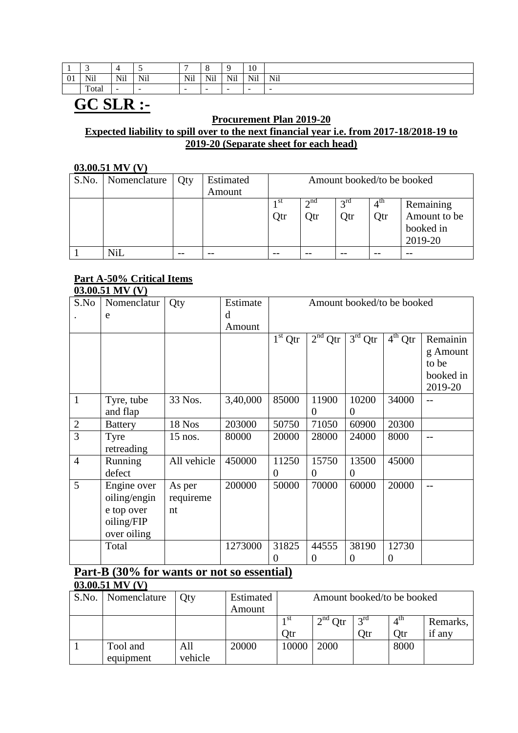|                 | -     |                         |        | -                        | $\Omega$<br>ം             | $\sim$                   | 1 <sub>0</sub><br>1 <b>V</b>                                      |        |
|-----------------|-------|-------------------------|--------|--------------------------|---------------------------|--------------------------|-------------------------------------------------------------------|--------|
| $^{\sim}$<br>V1 | Nil   | $X^T$<br>N <sub>1</sub> | Nil    | Nil                      | $x + 1$<br>N <sub>1</sub> | N <sub>i</sub> 1<br>TAIT | $\mathbf{X}$<br>N <sub>1</sub><br>the contract of the contract of | Nil    |
|                 | Total | $\sim$                  | $\sim$ | $\overline{\phantom{a}}$ | $\overline{\phantom{a}}$  | $\sim$                   | -                                                                 | $\sim$ |

## **GC SLR :-**

### **Procurement Plan 2019-20 Expected liability to spill over to the next financial year i.e. from 2017-18/2018-19 to 2019-20 (Separate sheet for each head)**

### **03.00.51 MV (V)**

| S.No. | Nomenclature | <b>Qty</b> | Estimated | Amount booked/to be booked |             |                 |             |              |  |  |
|-------|--------------|------------|-----------|----------------------------|-------------|-----------------|-------------|--------------|--|--|
|       |              |            | Amount    |                            |             |                 |             |              |  |  |
|       |              |            |           | 1 St                       | $\gamma$ nd | $2^{\text{rd}}$ | $4^{\rm m}$ | Remaining    |  |  |
|       |              |            |           | Qtr                        | Qtr         | Qtr             | Qtr         | Amount to be |  |  |
|       |              |            |           |                            |             |                 |             | booked in    |  |  |
|       |              |            |           |                            |             |                 |             | 2019-20      |  |  |
|       | Nil          | $- -$      | --        | --                         | --          |                 |             |              |  |  |

#### **Part A-50% Critical Items 03.00.51 MV (V)**

| S.No           | Nomenclatur    | Qty         | Estimate | Amount booked/to be booked |           |                     |           |           |  |  |  |
|----------------|----------------|-------------|----------|----------------------------|-----------|---------------------|-----------|-----------|--|--|--|
|                |                |             | d        |                            |           |                     |           |           |  |  |  |
|                | e              |             |          |                            |           |                     |           |           |  |  |  |
|                |                |             | Amount   |                            |           |                     |           |           |  |  |  |
|                |                |             |          | $1st$ Qtr                  | $2nd$ Qtr | $3^{\rm rd}$<br>Qtr | $4th$ Qtr | Remainin  |  |  |  |
|                |                |             |          |                            |           |                     |           | g Amount  |  |  |  |
|                |                |             |          |                            |           |                     |           | to be     |  |  |  |
|                |                |             |          |                            |           |                     |           | booked in |  |  |  |
|                |                |             |          |                            |           |                     |           | 2019-20   |  |  |  |
| $\mathbf{1}$   | Tyre, tube     | 33 Nos.     | 3,40,000 | 85000                      | 11900     | 10200               | 34000     |           |  |  |  |
|                | and flap       |             |          |                            | $\theta$  | $\overline{0}$      |           |           |  |  |  |
| $\mathbf{2}$   | <b>Battery</b> | 18 Nos      | 203000   | 50750                      | 71050     | 60900               | 20300     |           |  |  |  |
| $\overline{3}$ | Tyre           | $15$ nos.   | 80000    | 20000                      | 28000     | 24000               | 8000      |           |  |  |  |
|                | retreading     |             |          |                            |           |                     |           |           |  |  |  |
| $\overline{4}$ | Running        | All vehicle | 450000   | 11250                      | 15750     | 13500               | 45000     |           |  |  |  |
|                | defect         |             |          | $\overline{0}$             | $\Omega$  | $\overline{0}$      |           |           |  |  |  |
| 5              | Engine over    | As per      | 200000   | 50000                      | 70000     | 60000               | 20000     |           |  |  |  |
|                | oiling/engin   | requireme   |          |                            |           |                     |           |           |  |  |  |
|                | e top over     | nt          |          |                            |           |                     |           |           |  |  |  |
|                | oiling/FIP     |             |          |                            |           |                     |           |           |  |  |  |
|                | over oiling    |             |          |                            |           |                     |           |           |  |  |  |
|                | Total          |             | 1273000  | 31825                      | 44555     | 38190               | 12730     |           |  |  |  |
|                |                |             |          | $\overline{0}$             | 0         | $\overline{0}$      | $\theta$  |           |  |  |  |

#### **Part-B (30% for wants or not so essential) 03.00.51 MV (V)**

| S.No. | Nomenclature | )tv     | Estimated | Amount booked/to be booked |                    |                 |             |          |  |
|-------|--------------|---------|-----------|----------------------------|--------------------|-----------------|-------------|----------|--|
|       |              |         | Amount    |                            |                    |                 |             |          |  |
|       |              |         |           | 1 St                       | $\gamma$ nd<br>Qtr | $2^{\text{rd}}$ | $4^{\rm m}$ | Remarks, |  |
|       |              |         |           | Otr                        |                    | Otr             | Otr         | if any   |  |
|       | Tool and     | All     | 20000     | 10000                      | 2000               |                 | 8000        |          |  |
|       | equipment    | vehicle |           |                            |                    |                 |             |          |  |